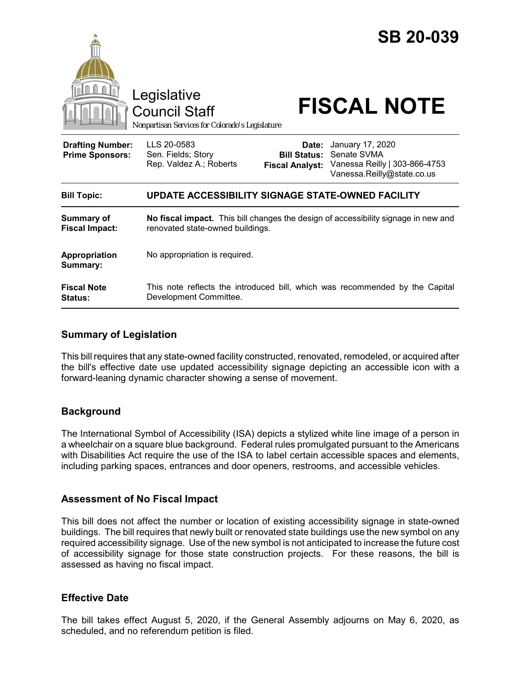

Council Staff

# Legislative<br>Council Staff **FISCAL NOTE**

*Nonpartisan Services for Colorado's Legislature*

No appropriation is required.

| <b>Drafting Number:</b><br><b>Prime Sponsors:</b> | LLS 20-0583<br>Sen. Fields; Story<br>Rep. Valdez A.; Roberts |  | <b>Date:</b> January 17, 2020<br><b>Bill Status: Senate SVMA</b><br>Fiscal Analyst: Vanessa Reilly   303-866-4753<br>Vanessa.Reilly@state.co.us |
|---------------------------------------------------|--------------------------------------------------------------|--|-------------------------------------------------------------------------------------------------------------------------------------------------|
| <b>Bill Topic:</b>                                | UPDATE ACCESSIBILITY SIGNAGE STATE-OWNED FACILITY            |  |                                                                                                                                                 |
| <b>Summary of</b><br><b>Fiscal Impact:</b>        | renovated state-owned buildings.                             |  | No fiscal impact. This bill changes the design of accessibility signage in new and                                                              |

| <b>Fiscal Note</b> | This note reflects the introduced bill, which was recommended by the Capital |
|--------------------|------------------------------------------------------------------------------|
| <b>Status:</b>     | Development Committee.                                                       |

#### **Summary of Legislation**

This bill requires that any state-owned facility constructed, renovated, remodeled, or acquired after the bill's effective date use updated accessibility signage depicting an accessible icon with a forward-leaning dynamic character showing a sense of movement.

### **Background**

**Appropriation Summary:** 

The International Symbol of Accessibility (ISA) depicts a stylized white line image of a person in a wheelchair on a square blue background. Federal rules promulgated pursuant to the Americans with Disabilities Act require the use of the ISA to label certain accessible spaces and elements, including parking spaces, entrances and door openers, restrooms, and accessible vehicles.

#### **Assessment of No Fiscal Impact**

This bill does not affect the number or location of existing accessibility signage in state-owned buildings. The bill requires that newly built or renovated state buildings use the new symbol on any required accessibility signage. Use of the new symbol is not anticipated to increase the future cost of accessibility signage for those state construction projects. For these reasons, the bill is assessed as having no fiscal impact.

#### **Effective Date**

The bill takes effect August 5, 2020, if the General Assembly adjourns on May 6, 2020, as scheduled, and no referendum petition is filed.